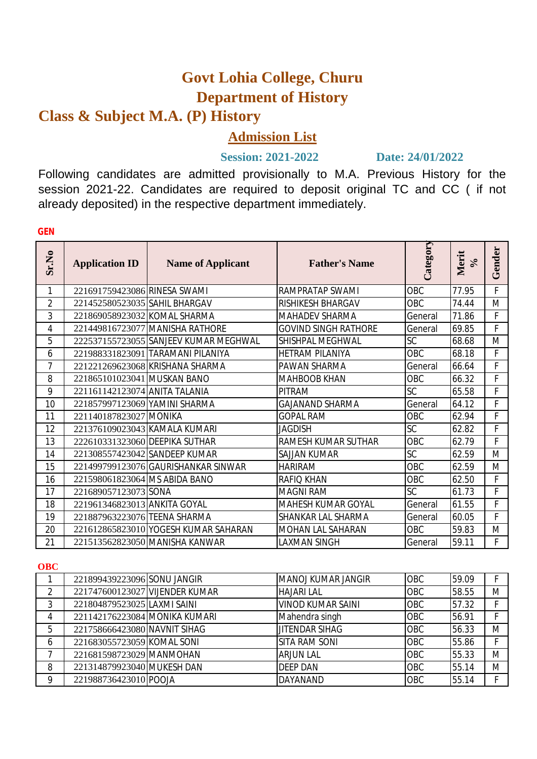# **Govt Lohia College, Churu Department of History**

# **Class & Subject M.A. (P) History**

# **Admission List**

# **Session: 2021-2022 Date: 24/01/2022**

Following candidates are admitted provisionally to M.A. Previous History for the session 2021-22. Candidates are required to deposit original TC and CC ( if not already deposited) in the respective department immediately.

| <b>Application ID</b> | <b>Name of Applicant</b> | <b>Father's Name</b>                                                                                                                                                                                                                                                                                                                                                                                                                                                                                                                                                                                                                                                                                                       |            | Merit<br>$\aleph$ | Gender |
|-----------------------|--------------------------|----------------------------------------------------------------------------------------------------------------------------------------------------------------------------------------------------------------------------------------------------------------------------------------------------------------------------------------------------------------------------------------------------------------------------------------------------------------------------------------------------------------------------------------------------------------------------------------------------------------------------------------------------------------------------------------------------------------------------|------------|-------------------|--------|
|                       |                          | RAMPRATAP SWAMI                                                                                                                                                                                                                                                                                                                                                                                                                                                                                                                                                                                                                                                                                                            | OBC        | 77.95             | F      |
|                       |                          | <b>RISHIKESH BHARGAV</b>                                                                                                                                                                                                                                                                                                                                                                                                                                                                                                                                                                                                                                                                                                   | OBC        | 74.44             | M      |
|                       |                          | MAHADEV SHARMA                                                                                                                                                                                                                                                                                                                                                                                                                                                                                                                                                                                                                                                                                                             | General    | 71.86             | F      |
|                       |                          | <b>GOVIND SINGH RATHORE</b>                                                                                                                                                                                                                                                                                                                                                                                                                                                                                                                                                                                                                                                                                                | General    | 69.85             | F      |
|                       |                          | SHISHPAL MEGHWAL                                                                                                                                                                                                                                                                                                                                                                                                                                                                                                                                                                                                                                                                                                           | SC         | 68.68             | M      |
|                       |                          | <b>HETRAM PILANIYA</b>                                                                                                                                                                                                                                                                                                                                                                                                                                                                                                                                                                                                                                                                                                     | OBC        | 68.18             | F      |
|                       |                          | PAWAN SHARMA                                                                                                                                                                                                                                                                                                                                                                                                                                                                                                                                                                                                                                                                                                               | General    | 66.64             | F      |
|                       |                          | <b>MAHBOOB KHAN</b>                                                                                                                                                                                                                                                                                                                                                                                                                                                                                                                                                                                                                                                                                                        | OBC        | 66.32             | F      |
|                       |                          | <b>PITRAM</b>                                                                                                                                                                                                                                                                                                                                                                                                                                                                                                                                                                                                                                                                                                              | <b>SC</b>  | 65.58             | F      |
|                       |                          | <b>GAJANAND SHARMA</b>                                                                                                                                                                                                                                                                                                                                                                                                                                                                                                                                                                                                                                                                                                     | General    | 64.12             | F      |
|                       |                          | <b>GOPAL RAM</b>                                                                                                                                                                                                                                                                                                                                                                                                                                                                                                                                                                                                                                                                                                           | OBC        | 62.94             | F      |
|                       |                          | <b>JAGDISH</b>                                                                                                                                                                                                                                                                                                                                                                                                                                                                                                                                                                                                                                                                                                             | SC         | 62.82             | F      |
|                       |                          | RAMESH KUMAR SUTHAR                                                                                                                                                                                                                                                                                                                                                                                                                                                                                                                                                                                                                                                                                                        | OBC        | 62.79             | F      |
|                       |                          | SAJJAN KUMAR                                                                                                                                                                                                                                                                                                                                                                                                                                                                                                                                                                                                                                                                                                               | SC         | 62.59             | M      |
|                       |                          | <b>HARIRAM</b>                                                                                                                                                                                                                                                                                                                                                                                                                                                                                                                                                                                                                                                                                                             | OBC        | 62.59             | M      |
|                       |                          | <b>RAFIO KHAN</b>                                                                                                                                                                                                                                                                                                                                                                                                                                                                                                                                                                                                                                                                                                          | <b>OBC</b> | 62.50             | F      |
|                       |                          | <b>MAGNI RAM</b>                                                                                                                                                                                                                                                                                                                                                                                                                                                                                                                                                                                                                                                                                                           | SC         | 61.73             | F      |
|                       |                          | <b>MAHESH KUMAR GOYAL</b>                                                                                                                                                                                                                                                                                                                                                                                                                                                                                                                                                                                                                                                                                                  | General    | 61.55             | F      |
|                       |                          | SHANKAR LAL SHARMA                                                                                                                                                                                                                                                                                                                                                                                                                                                                                                                                                                                                                                                                                                         | General    | 60.05             | F      |
|                       |                          | <b>MOHAN LAL SAHARAN</b>                                                                                                                                                                                                                                                                                                                                                                                                                                                                                                                                                                                                                                                                                                   | OBC        | 59.83             | M      |
|                       |                          | <b>LAXMAN SINGH</b>                                                                                                                                                                                                                                                                                                                                                                                                                                                                                                                                                                                                                                                                                                        | General    | 59.11             | F      |
|                       |                          | 221691759423086 RINESA SWAMI<br>221452580523035 SAHIL BHARGAV<br>221869058923032 KOMAL SHARMA<br>221449816723077 MANISHA RATHORE<br>222537155723055 SANJEEV KUMAR MEGHWAL<br>221988331823091 TARAMANI PILANIYA<br>221221269623068 KRISHANA SHARMA<br>221865101023041 MUSKAN BANO<br>221161142123074 ANITA TALANIA<br>221857997123069 YAMINI SHARMA<br>221140187823027 MONIKA<br>221376109023043 KAMALA KUMARI<br>222610331323060 DEEPIKA SUTHAR<br>221308557423042 SANDEEP KUMAR<br>221499799123076 GAURISHANKAR SINWAR<br>221598061823064 MS ABIDA BANO<br>221689057123073 SONA<br>221961346823013 ANKITA GOYAL<br>221887963223076 TEENA SHARMA<br>221612865823010 YOGESH KUMAR SAHARAN<br>221513562823050 MANISHA KANWAR |            | Category          |        |

#### **OBC**

|   | 221899439223096 SONU JANGIR    | MANOJ KUMAR JANGIR       | <b>OBC</b> | 59.09 |   |
|---|--------------------------------|--------------------------|------------|-------|---|
|   | 221747600123027 VIJENDER KUMAR | <b>HAJARI LAL</b>        | <b>OBC</b> | 58.55 | M |
|   | 221804879523025 LAXMI SAINI    | <b>VINOD KUMAR SAINI</b> | OBC        | 57.32 |   |
| 4 | 221142176223084 MONIKA KUMARI  | Mahendra singh           | <b>OBC</b> | 56.91 |   |
| 5 | 221758666423080 NAVNIT SIHAG   | <b>JITENDAR SIHAG</b>    | <b>OBC</b> | 56.33 | M |
| b | 221683055723059 KOMAL SONI     | <b>SITA RAM SONI</b>     | OBC        | 55.86 |   |
|   | 221681598723029 MANMOHAN       | <b>ARJUN LAL</b>         | <b>OBC</b> | 55.33 | M |
| 8 | 221314879923040 MUKESH DAN     | <b>DEEP DAN</b>          | <b>OBC</b> | 55.14 | M |
| o | 221988736423010 POOJA          | <b>DAYANAND</b>          | OBC        | 55.14 |   |